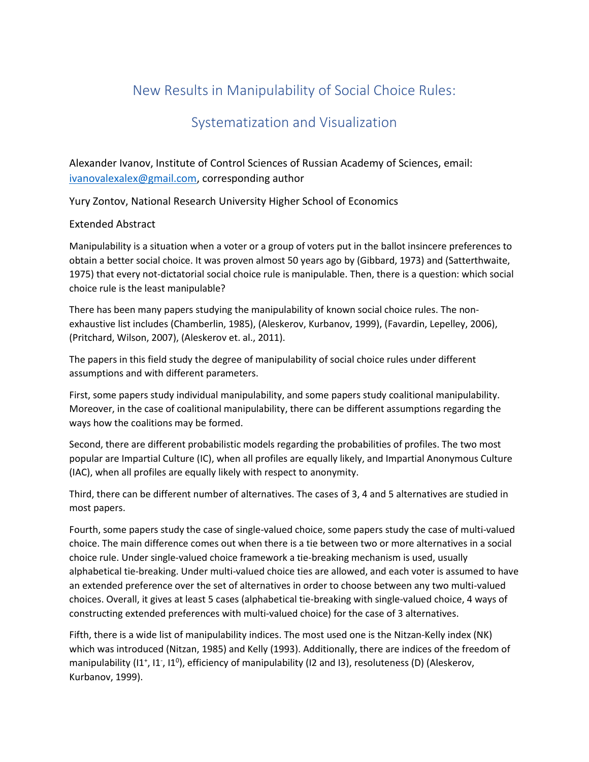## New Results in Manipulability of Social Choice Rules:

## Systematization and Visualization

Alexander Ivanov, Institute of Control Sciences of Russian Academy of Sciences, email: [ivanovalexalex@gmail.com,](mailto:ivanovalexalex@gmail.com) corresponding author

Yury Zontov, National Research University Higher School of Economics

## Extended Abstract

Manipulability is a situation when a voter or a group of voters put in the ballot insincere preferences to obtain a better social choice. It was proven almost 50 years ago by (Gibbard, 1973) and (Satterthwaite, 1975) that every not-dictatorial social choice rule is manipulable. Then, there is a question: which social choice rule is the least manipulable?

There has been many papers studying the manipulability of known social choice rules. The nonexhaustive list includes (Chamberlin, 1985), (Aleskerov, Kurbanov, 1999), (Favardin, Lepelley, 2006), (Pritchard, Wilson, 2007), (Aleskerov et. al., 2011).

The papers in this field study the degree of manipulability of social choice rules under different assumptions and with different parameters.

First, some papers study individual manipulability, and some papers study coalitional manipulability. Moreover, in the case of coalitional manipulability, there can be different assumptions regarding the ways how the coalitions may be formed.

Second, there are different probabilistic models regarding the probabilities of profiles. The two most popular are Impartial Culture (IC), when all profiles are equally likely, and Impartial Anonymous Culture (IAC), when all profiles are equally likely with respect to anonymity.

Third, there can be different number of alternatives. The cases of 3, 4 and 5 alternatives are studied in most papers.

Fourth, some papers study the case of single-valued choice, some papers study the case of multi-valued choice. The main difference comes out when there is a tie between two or more alternatives in a social choice rule. Under single-valued choice framework a tie-breaking mechanism is used, usually alphabetical tie-breaking. Under multi-valued choice ties are allowed, and each voter is assumed to have an extended preference over the set of alternatives in order to choose between any two multi-valued choices. Overall, it gives at least 5 cases (alphabetical tie-breaking with single-valued choice, 4 ways of constructing extended preferences with multi-valued choice) for the case of 3 alternatives.

Fifth, there is a wide list of manipulability indices. The most used one is the Nitzan-Kelly index (NK) which was introduced (Nitzan, 1985) and Kelly (1993). Additionally, there are indices of the freedom of manipulability (I1<sup>+</sup>, I1<sup>-</sup>, I1<sup>0</sup>), efficiency of manipulability (I2 and I3), resoluteness (D) (Aleskerov, Kurbanov, 1999).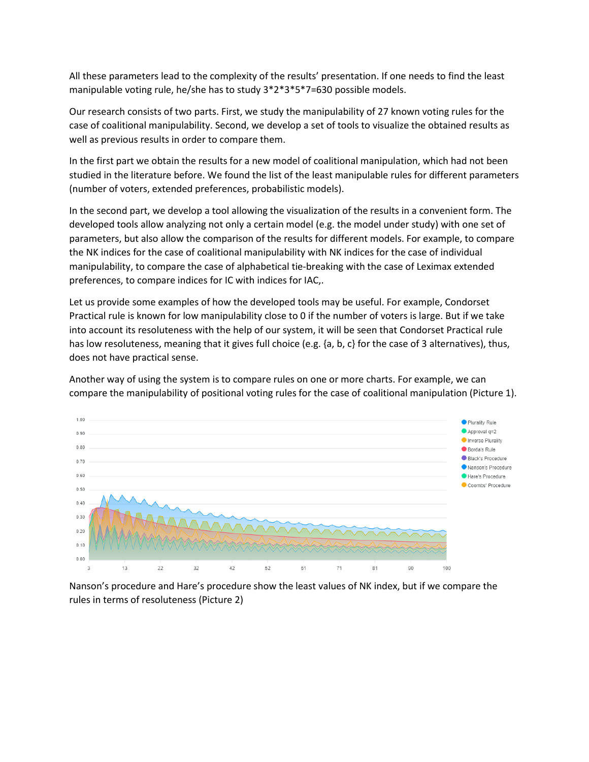All these parameters lead to the complexity of the results' presentation. If one needs to find the least manipulable voting rule, he/she has to study 3\*2\*3\*5\*7=630 possible models.

Our research consists of two parts. First, we study the manipulability of 27 known voting rules for the case of coalitional manipulability. Second, we develop a set of tools to visualize the obtained results as well as previous results in order to compare them.

In the first part we obtain the results for a new model of coalitional manipulation, which had not been studied in the literature before. We found the list of the least manipulable rules for different parameters (number of voters, extended preferences, probabilistic models).

In the second part, we develop a tool allowing the visualization of the results in a convenient form. The developed tools allow analyzing not only a certain model (e.g. the model under study) with one set of parameters, but also allow the comparison of the results for different models. For example, to compare the NK indices for the case of coalitional manipulability with NK indices for the case of individual manipulability, to compare the case of alphabetical tie-breaking with the case of Leximax extended preferences, to compare indices for IC with indices for IAC,.

Let us provide some examples of how the developed tools may be useful. For example, Condorset Practical rule is known for low manipulability close to 0 if the number of voters is large. But if we take into account its resoluteness with the help of our system, it will be seen that Condorset Practical rule has low resoluteness, meaning that it gives full choice (e.g. {a, b, c} for the case of 3 alternatives), thus, does not have practical sense.

 $1.00$ Plurality Rule  $\rho$  Approval q=2  $0.90$ Inverse Plurality  $0.80$ Borda's Rule Black's Procedure  $070$ Nanson's Procedure  $0.60$ Hare's Procedure Coombs' Procedure  $0.50$  $0.40$  $0.30$  $0.20$  $0.10$  $0.00$  $13$  $22$  $\overline{a}$ 42 52 61  $81$ 90 100

Another way of using the system is to compare rules on one or more charts. For example, we can compare the manipulability of positional voting rules for the case of coalitional manipulation (Picture 1).

Nanson's procedure and Hare's procedure show the least values of NK index, but if we compare the rules in terms of resoluteness (Picture 2)